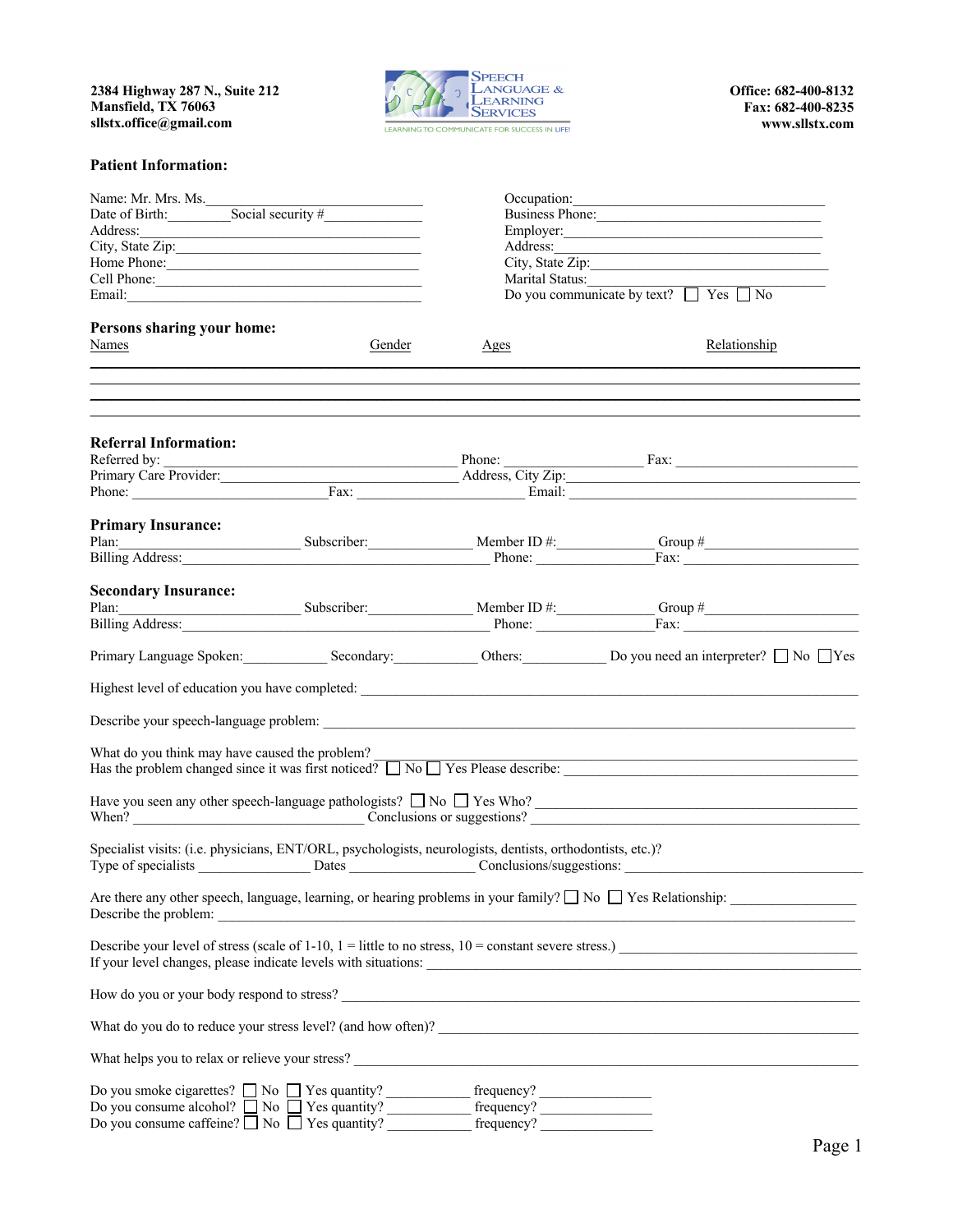**2384 Highway 287 N., Suite 212 Mansfield, TX 76063 sllstx.office@gmail.com**



**Office: 682-400-8132 Fax: 682-400-8235 www.sllstx.com**

## **Patient Information:**

| Name: Mr. Mrs. Ms.<br>Date of Birth: Social security #<br>Address:<br>Home Phone: <u>contract the contract of the set of the set of the set of the set of the set of the set of the set of the set of the set of the set of the set of the set of the set of the set of the set of the set of the set </u><br>Cell Phone: |  | Occupation:<br>Business Phone:<br>Employer: <u>contract the contract of the contract of the contract of the contract of the contract of the contract of the contract of the contract of the contract of the contract of the contract of the contract of the contra</u><br>Address: |                                                                                                                                                                                                                                |      |                                                  |                 |
|---------------------------------------------------------------------------------------------------------------------------------------------------------------------------------------------------------------------------------------------------------------------------------------------------------------------------|--|------------------------------------------------------------------------------------------------------------------------------------------------------------------------------------------------------------------------------------------------------------------------------------|--------------------------------------------------------------------------------------------------------------------------------------------------------------------------------------------------------------------------------|------|--------------------------------------------------|-----------------|
|                                                                                                                                                                                                                                                                                                                           |  |                                                                                                                                                                                                                                                                                    |                                                                                                                                                                                                                                |      |                                                  |                 |
|                                                                                                                                                                                                                                                                                                                           |  |                                                                                                                                                                                                                                                                                    |                                                                                                                                                                                                                                |      |                                                  | Marital Status: |
|                                                                                                                                                                                                                                                                                                                           |  |                                                                                                                                                                                                                                                                                    |                                                                                                                                                                                                                                |      | Do you communicate by text? $\Box$ Yes $\Box$ No |                 |
|                                                                                                                                                                                                                                                                                                                           |  |                                                                                                                                                                                                                                                                                    |                                                                                                                                                                                                                                |      |                                                  |                 |
|                                                                                                                                                                                                                                                                                                                           |  | Persons sharing your home:                                                                                                                                                                                                                                                         |                                                                                                                                                                                                                                |      |                                                  |                 |
|                                                                                                                                                                                                                                                                                                                           |  | Names                                                                                                                                                                                                                                                                              | Gender                                                                                                                                                                                                                         | Ages | Relationship                                     |                 |
|                                                                                                                                                                                                                                                                                                                           |  |                                                                                                                                                                                                                                                                                    |                                                                                                                                                                                                                                |      |                                                  |                 |
| <b>Referral Information:</b>                                                                                                                                                                                                                                                                                              |  |                                                                                                                                                                                                                                                                                    |                                                                                                                                                                                                                                |      |                                                  |                 |
|                                                                                                                                                                                                                                                                                                                           |  |                                                                                                                                                                                                                                                                                    |                                                                                                                                                                                                                                |      |                                                  |                 |
|                                                                                                                                                                                                                                                                                                                           |  |                                                                                                                                                                                                                                                                                    | Primary Care Provider: Address, City Zip: Address, City Zip:                                                                                                                                                                   |      |                                                  |                 |
|                                                                                                                                                                                                                                                                                                                           |  |                                                                                                                                                                                                                                                                                    | Phone: Fax: Fax: Fax: Email: Email: Email: Email: Email: Email: Email: Email: Email: Email: Email: Email: Email: Email: Email: Email: Email: Email: Email: Email: Email: Email: Email: Email: Email: Email: Email: Email: Emai |      |                                                  |                 |
| <b>Primary Insurance:</b>                                                                                                                                                                                                                                                                                                 |  |                                                                                                                                                                                                                                                                                    |                                                                                                                                                                                                                                |      |                                                  |                 |
|                                                                                                                                                                                                                                                                                                                           |  |                                                                                                                                                                                                                                                                                    |                                                                                                                                                                                                                                |      |                                                  |                 |
|                                                                                                                                                                                                                                                                                                                           |  |                                                                                                                                                                                                                                                                                    | Plan: Subscriber: Member ID #: Group # Group # Group # Group Address: Fax: Contract Let a and Address: Contract Let a and Address: Contract Let a and Address: Contract Let a and Address: Contract Let a and Address: Contrac |      |                                                  |                 |
|                                                                                                                                                                                                                                                                                                                           |  |                                                                                                                                                                                                                                                                                    |                                                                                                                                                                                                                                |      |                                                  |                 |
| <b>Secondary Insurance:</b>                                                                                                                                                                                                                                                                                               |  |                                                                                                                                                                                                                                                                                    | Plan: Subscriber: Member ID #: Group # Group # Group # Group # Group # Group # Group # Group # Group # Group # Group # Group # Group # Group # Group # Group # Group # Group # Group # Group # Group # Group # Group # Group # |      |                                                  |                 |
|                                                                                                                                                                                                                                                                                                                           |  |                                                                                                                                                                                                                                                                                    |                                                                                                                                                                                                                                |      |                                                  |                 |
|                                                                                                                                                                                                                                                                                                                           |  |                                                                                                                                                                                                                                                                                    |                                                                                                                                                                                                                                |      |                                                  |                 |
|                                                                                                                                                                                                                                                                                                                           |  |                                                                                                                                                                                                                                                                                    | Primary Language Spoken: Secondary: Secondary: Others: Do you need an interpreter? No Yes                                                                                                                                      |      |                                                  |                 |
|                                                                                                                                                                                                                                                                                                                           |  |                                                                                                                                                                                                                                                                                    |                                                                                                                                                                                                                                |      |                                                  |                 |
|                                                                                                                                                                                                                                                                                                                           |  |                                                                                                                                                                                                                                                                                    |                                                                                                                                                                                                                                |      |                                                  |                 |
|                                                                                                                                                                                                                                                                                                                           |  |                                                                                                                                                                                                                                                                                    | What do you think may have caused the problem?<br>Has the problem changed since it was first noticed? $\Box$ No $\Box$ Yes Please describe:                                                                                    |      |                                                  |                 |
|                                                                                                                                                                                                                                                                                                                           |  |                                                                                                                                                                                                                                                                                    | Have you seen any other speech-language pathologists? $\Box$ No $\Box$ Yes Who?                                                                                                                                                |      |                                                  |                 |
| Specialist visits: (i.e. physicians, ENT/ORL, psychologists, neurologists, dentists, orthodontists, etc.)?                                                                                                                                                                                                                |  |                                                                                                                                                                                                                                                                                    |                                                                                                                                                                                                                                |      |                                                  |                 |
| Describe the problem:                                                                                                                                                                                                                                                                                                     |  |                                                                                                                                                                                                                                                                                    | Are there any other speech, language, learning, or hearing problems in your family? $\square$ No $\square$ Yes Relationship:                                                                                                   |      |                                                  |                 |
|                                                                                                                                                                                                                                                                                                                           |  |                                                                                                                                                                                                                                                                                    |                                                                                                                                                                                                                                |      |                                                  |                 |
|                                                                                                                                                                                                                                                                                                                           |  |                                                                                                                                                                                                                                                                                    |                                                                                                                                                                                                                                |      |                                                  |                 |
|                                                                                                                                                                                                                                                                                                                           |  |                                                                                                                                                                                                                                                                                    |                                                                                                                                                                                                                                |      |                                                  |                 |
|                                                                                                                                                                                                                                                                                                                           |  |                                                                                                                                                                                                                                                                                    | What helps you to relax or relieve your stress?                                                                                                                                                                                |      |                                                  |                 |
|                                                                                                                                                                                                                                                                                                                           |  |                                                                                                                                                                                                                                                                                    |                                                                                                                                                                                                                                |      |                                                  |                 |
|                                                                                                                                                                                                                                                                                                                           |  |                                                                                                                                                                                                                                                                                    |                                                                                                                                                                                                                                |      |                                                  |                 |
| Do you since eigeneements $\Box$ No $\Box$ Yes quantity? $\Box$ frequency?<br>Do you consume caffeine? $\Box$ No $\Box$ Yes quantity? $\Box$ frequency?                                                                                                                                                                   |  |                                                                                                                                                                                                                                                                                    |                                                                                                                                                                                                                                |      |                                                  |                 |